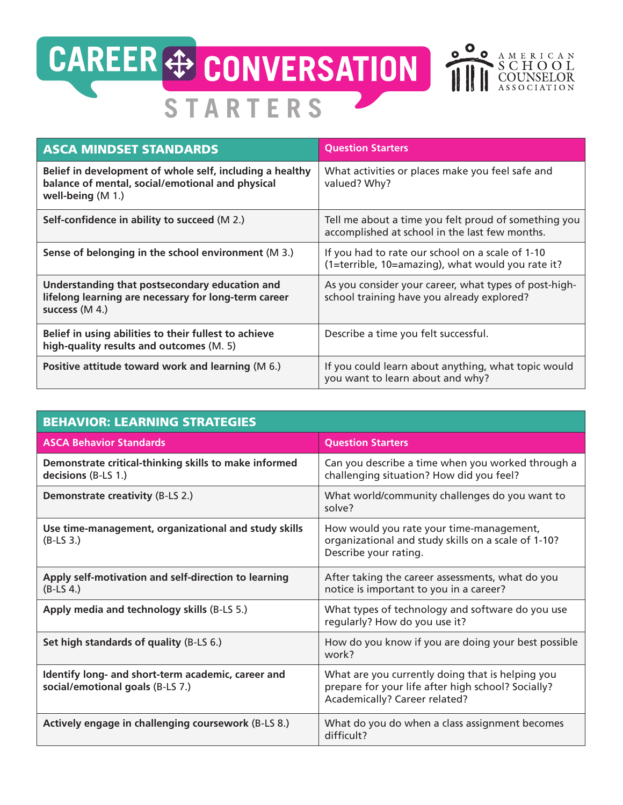

| <b>ASCA MINDSET STANDARDS</b>                                                                                                       | <b>Question Starters</b>                                                                               |
|-------------------------------------------------------------------------------------------------------------------------------------|--------------------------------------------------------------------------------------------------------|
| Belief in development of whole self, including a healthy<br>balance of mental, social/emotional and physical<br>well-being $(M 1.)$ | What activities or places make you feel safe and<br>valued? Why?                                       |
| Self-confidence in ability to succeed (M 2.)                                                                                        | Tell me about a time you felt proud of something you<br>accomplished at school in the last few months. |
| Sense of belonging in the school environment (M 3.)                                                                                 | If you had to rate our school on a scale of 1-10<br>(1=terrible, 10=amazing), what would you rate it?  |
| Understanding that postsecondary education and<br>lifelong learning are necessary for long-term career<br>success (M 4.)            | As you consider your career, what types of post-high-<br>school training have you already explored?    |
| Belief in using abilities to their fullest to achieve<br>high-quality results and outcomes (M. 5)                                   | Describe a time you felt successful.                                                                   |
| Positive attitude toward work and learning (M 6.)                                                                                   | If you could learn about anything, what topic would<br>you want to learn about and why?                |

| <b>BEHAVIOR: LEARNING STRATEGIES</b>                                                   |                                                                                                                                         |  |
|----------------------------------------------------------------------------------------|-----------------------------------------------------------------------------------------------------------------------------------------|--|
| <b>ASCA Behavior Standards</b>                                                         | <b>Question Starters</b>                                                                                                                |  |
| Demonstrate critical-thinking skills to make informed<br>decisions (B-LS 1.)           | Can you describe a time when you worked through a<br>challenging situation? How did you feel?                                           |  |
| Demonstrate creativity (B-LS 2.)                                                       | What world/community challenges do you want to<br>solve?                                                                                |  |
| Use time-management, organizational and study skills<br>$(B-LS3)$                      | How would you rate your time-management,<br>organizational and study skills on a scale of 1-10?<br>Describe your rating.                |  |
| Apply self-motivation and self-direction to learning<br>$(B-LS 4.)$                    | After taking the career assessments, what do you<br>notice is important to you in a career?                                             |  |
| Apply media and technology skills (B-LS 5.)                                            | What types of technology and software do you use<br>regularly? How do you use it?                                                       |  |
| Set high standards of quality (B-LS 6.)                                                | How do you know if you are doing your best possible<br>work?                                                                            |  |
| Identify long- and short-term academic, career and<br>social/emotional goals (B-LS 7.) | What are you currently doing that is helping you<br>prepare for your life after high school? Socially?<br>Academically? Career related? |  |
| Actively engage in challenging coursework (B-LS 8.)                                    | What do you do when a class assignment becomes<br>difficult?                                                                            |  |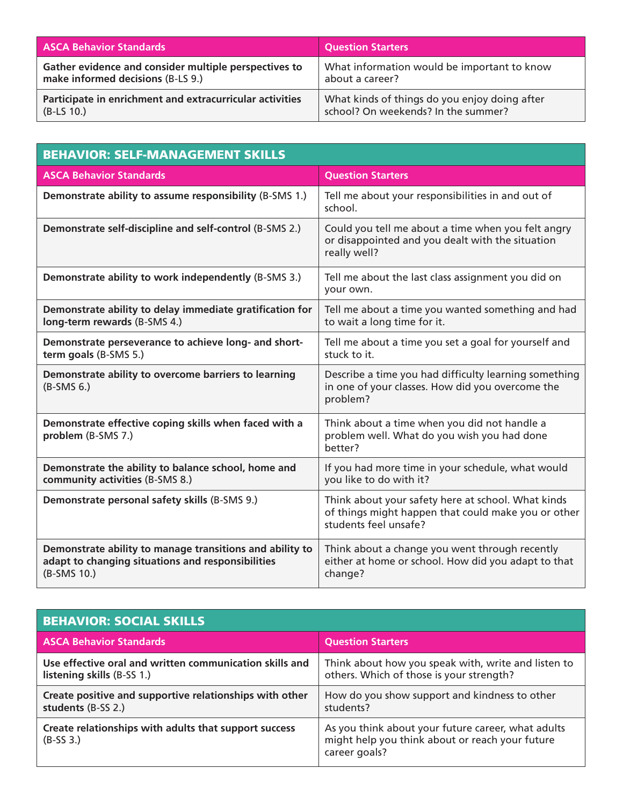| <b>ASCA Behavior Standards</b>                           | <b>Question Starters</b>                      |
|----------------------------------------------------------|-----------------------------------------------|
| Gather evidence and consider multiple perspectives to    | What information would be important to know   |
| make informed decisions (B-LS 9.)                        | about a career?                               |
| Participate in enrichment and extracurricular activities | What kinds of things do you enjoy doing after |
| $(B-LS 10.)$                                             | school? On weekends? In the summer?           |

| <b>BEHAVIOR: SELF-MANAGEMENT SKILLS</b>                                                                                      |                                                                                                                                    |  |
|------------------------------------------------------------------------------------------------------------------------------|------------------------------------------------------------------------------------------------------------------------------------|--|
| <b>ASCA Behavior Standards</b>                                                                                               | <b>Question Starters</b>                                                                                                           |  |
| Demonstrate ability to assume responsibility (B-SMS 1.)                                                                      | Tell me about your responsibilities in and out of<br>school.                                                                       |  |
| Demonstrate self-discipline and self-control (B-SMS 2.)                                                                      | Could you tell me about a time when you felt angry<br>or disappointed and you dealt with the situation<br>really well?             |  |
| Demonstrate ability to work independently (B-SMS 3.)                                                                         | Tell me about the last class assignment you did on<br>your own.                                                                    |  |
| Demonstrate ability to delay immediate gratification for<br>long-term rewards (B-SMS 4.)                                     | Tell me about a time you wanted something and had<br>to wait a long time for it.                                                   |  |
| Demonstrate perseverance to achieve long- and short-<br>term goals (B-SMS 5.)                                                | Tell me about a time you set a goal for yourself and<br>stuck to it.                                                               |  |
| Demonstrate ability to overcome barriers to learning<br>$(B-SMS 6.)$                                                         | Describe a time you had difficulty learning something<br>in one of your classes. How did you overcome the<br>problem?              |  |
| Demonstrate effective coping skills when faced with a<br>problem (B-SMS 7.)                                                  | Think about a time when you did not handle a<br>problem well. What do you wish you had done<br>better?                             |  |
| Demonstrate the ability to balance school, home and<br>community activities (B-SMS 8.)                                       | If you had more time in your schedule, what would<br>you like to do with it?                                                       |  |
| Demonstrate personal safety skills (B-SMS 9.)                                                                                | Think about your safety here at school. What kinds<br>of things might happen that could make you or other<br>students feel unsafe? |  |
| Demonstrate ability to manage transitions and ability to<br>adapt to changing situations and responsibilities<br>(B-SMS 10.) | Think about a change you went through recently<br>either at home or school. How did you adapt to that<br>change?                   |  |

| <b>BEHAVIOR: SOCIAL SKILLS</b>                                                        |                                                                                                                        |  |
|---------------------------------------------------------------------------------------|------------------------------------------------------------------------------------------------------------------------|--|
| <b>ASCA Behavior Standards</b>                                                        | <b>Question Starters</b>                                                                                               |  |
| Use effective oral and written communication skills and<br>listening skills (B-SS 1.) | Think about how you speak with, write and listen to<br>others. Which of those is your strength?                        |  |
| Create positive and supportive relationships with other<br>students (B-SS 2.)         | How do you show support and kindness to other<br>students?                                                             |  |
| Create relationships with adults that support success<br>$(B-SS 3.)$                  | As you think about your future career, what adults<br>might help you think about or reach your future<br>career goals? |  |